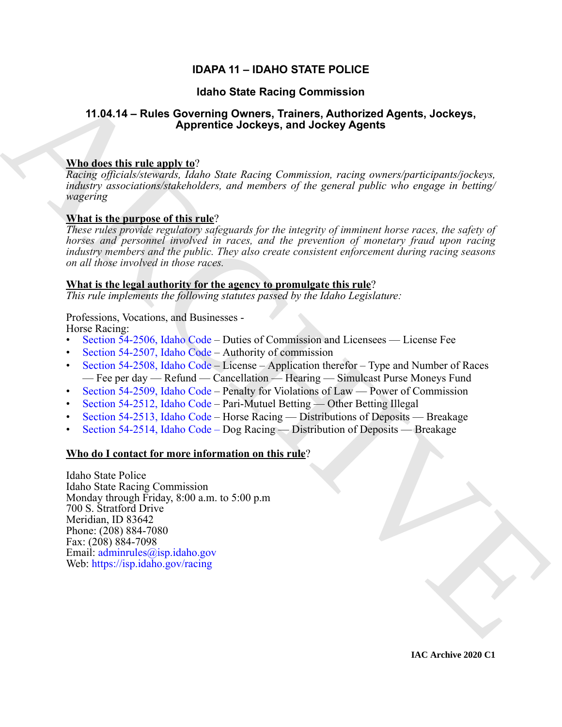# **IDAPA 11 – IDAHO STATE POLICE**

# **Idaho State Racing Commission**

# **11.04.14 – Rules Governing Owners, Trainers, Authorized Agents, Jockeys, Apprentice Jockeys, and Jockey Agents**

# **Who does this rule apply to**?

*Racing officials/stewards, Idaho State Racing Commission, racing owners/participants/jockeys, industry associations/stakeholders, and members of the general public who engage in betting/ wagering*

# **What is the purpose of this rule**?

*These rules provide regulatory safeguards for the integrity of imminent horse races, the safety of horses and personnel involved in races, and the prevention of monetary fraud upon racing industry members and the public. They also create consistent enforcement during racing seasons on all those involved in those races.* 

# **What is the legal authority for the agency to promulgate this rule**?

*This rule implements the following statutes passed by the Idaho Legislature:*

Professions, Vocations, and Businesses - Horse Racing:

- Section 54-2506, Idaho Code Duties of Commission and Licensees License Fee
- Section 54-2507, Idaho Code Authority of commission
- Section 54-2508, Idaho Code License Application therefor Type and Number of Races — Fee per day — Refund — Cancellation — Hearing — Simulcast Purse Moneys Fund
- Section 54-2509, Idaho Code Penalty for Violations of Law Power of Commission
- Section 54-2512, Idaho Code Pari-Mutuel Betting Other Betting Illegal
- Section 54-2513, Idaho Code Horse Racing Distributions of Deposits Breakage
- Section 54-2514, Idaho Code Dog Racing Distribution of Deposits Breakage

# **Who do I contact for more information on this rule**?

(data of State Recinq [C](https://legislature.idaho.gov/statutesrules/idstat/Title54/T54CH25/SECT54-2506/)ommission<br>
11.04.14 – Rules Governing Owener, Trainers, Authorized Agents, Jockeys,<br>
11.04.14 – Rules Governing Owener, Trainers, Authorized Agents, Jockeys,<br>
Whichare this rule and the space of the Idaho State Police Idaho State Racing Commission Monday through Friday, 8:00 a.m. to 5:00 p.m 700 S. Stratford Drive Meridian, ID 83642 Phone: (208) 884-7080 Fax: (208) 884-7098 Email: adminrules@isp.idaho.gov Web: https://isp.idaho.gov/racing

**IAC Archive 2020 C1**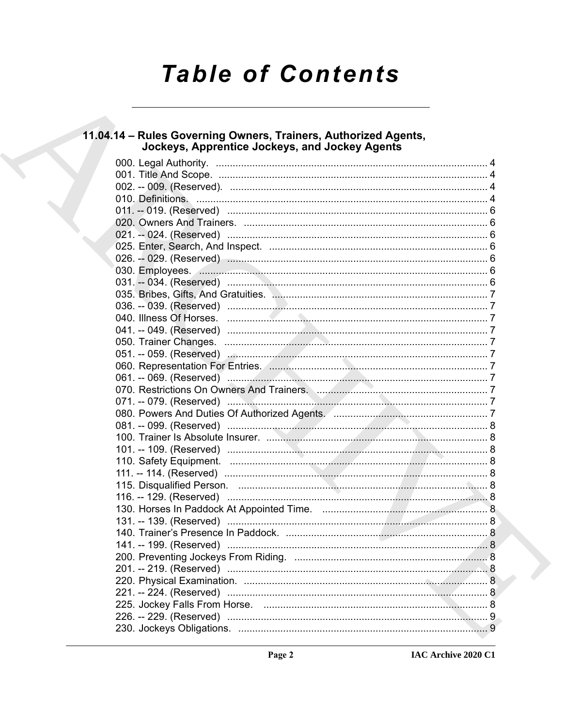# **Table of Contents**

# 11.04.14 - Rules Governing Owners, Trainers, Authorized Agents, **Jockeys, Apprentice Jockeys, and Jockey Agents**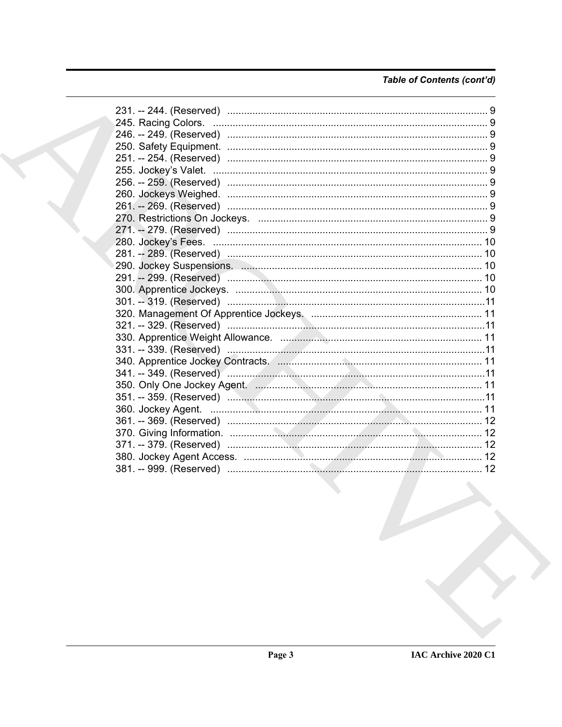# Table of Contents (cont'd)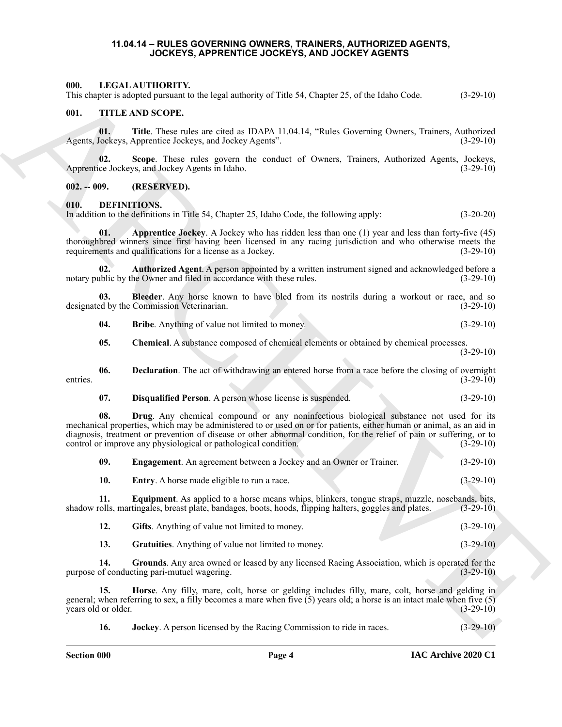#### **11.04.14 – RULES GOVERNING OWNERS, TRAINERS, AUTHORIZED AGENTS, JOCKEYS, APPRENTICE JOCKEYS, AND JOCKEY AGENTS**

#### <span id="page-3-22"></span><span id="page-3-1"></span><span id="page-3-0"></span>**000. LEGAL AUTHORITY.**

This chapter is adopted pursuant to the legal authority of Title 54, Chapter 25, of the Idaho Code. (3-29-10)

#### <span id="page-3-23"></span><span id="page-3-2"></span>**001. TITLE AND SCOPE.**

**01.** Title. These rules are cited as IDAPA 11.04.14, "Rules Governing Owners, Trainers, Authorized Jockeys, Apprentice Jockeys, and Jockey Agents". (3-29-10) Agents, Jockeys, Apprentice Jockeys, and Jockey Agents".

**02.** Scope. These rules govern the conduct of Owners, Trainers, Authorized Agents, Jockeys, ce Jockeys, and Jockey Agents in Idaho. (3-29-10) Apprentice Jockeys, and Jockey Agents in Idaho.

<span id="page-3-3"></span>**002. -- 009. (RESERVED).**

#### <span id="page-3-5"></span><span id="page-3-4"></span>**010. DEFINITIONS.**

In addition to the definitions in Title 54, Chapter 25, Idaho Code, the following apply: (3-20-20)

<span id="page-3-6"></span>**01. Apprentice Jockey**. A Jockey who has ridden less than one (1) year and less than forty-five (45) thoroughbred winners since first having been licensed in any racing jurisdiction and who otherwise meets the requirements and qualifications for a license as a Jockey. (3-29-10) requirements and qualifications for a license as a Jockey.

<span id="page-3-7"></span>**02. Authorized Agent**. A person appointed by a written instrument signed and acknowledged before a notary public by the Owner and filed in accordance with these rules. (3-29-10)

**03.** Bleeder. Any horse known to have bled from its nostrils during a workout or race, and so ed by the Commission Veterinarian. (3-29-10) designated by the Commission Veterinarian.

<span id="page-3-9"></span><span id="page-3-8"></span>**04. Bribe**. Anything of value not limited to money. (3-29-10)

<span id="page-3-11"></span><span id="page-3-10"></span>**05. Chemical**. A substance composed of chemical elements or obtained by chemical processes.

(3-29-10)

**06. Declaration**. The act of withdrawing an entered horse from a race before the closing of overnight entries.  $(3-29-10)$ 

<span id="page-3-13"></span><span id="page-3-12"></span>**07. Disqualified Person**. A person whose license is suspended. (3-29-10)

601. THE A MONTIONERY and the legal surharing of Title So, Chapter 25, of for Edsho Code. (13-26-16)<br>
(ii). THE ARCHIVES SONG are closed as DANA 11.8-11.4. Takes Governing Owner, Traines, Anglessing<br>
(iii). This are close **08. Drug**. Any chemical compound or any noninfectious biological substance not used for its mechanical properties, which may be administered to or used on or for patients, either human or animal, as an aid in diagnosis, treatment or prevention of disease or other abnormal condition, for the relief of pain or suffering, or to control or improve any physiological or pathological condition. (3-29-10) control or improve any physiological or pathological condition.

<span id="page-3-16"></span><span id="page-3-15"></span><span id="page-3-14"></span>

| -09. | <b>Engagement</b> . An agreement between a Jockey and an Owner or Trainer. | $(3-29-10)$ |
|------|----------------------------------------------------------------------------|-------------|
|      | <b>Entry.</b> A horse made eligible to run a race.                         | $(3-29-10)$ |

**11. Equipment**. As applied to a horse means whips, blinkers, tongue straps, muzzle, nosebands, bits, shadow rolls, martingales, breast plate, bandages, boots, hoods, flipping halters, goggles and plates. (3-29-10)

<span id="page-3-19"></span><span id="page-3-18"></span><span id="page-3-17"></span>

| <b>Gifts.</b> Anything of value not limited to money.      | $(3-29-10)$ |
|------------------------------------------------------------|-------------|
| <b>Gratuities.</b> Anything of value not limited to money. | $(3-29-10)$ |

**14. Grounds**. Any area owned or leased by any licensed Racing Association, which is operated for the purpose of conducting pari-mutuel wagering. (3-29-10)

**15. Horse**. Any filly, mare, colt, horse or gelding includes filly, mare, colt, horse and gelding in general; when referring to sex, a filly becomes a mare when five  $(5)$  years old; a horse is an intact male when five  $(5)$  years old or older.<br> $(3-29-10)$ years old or older.

<span id="page-3-21"></span><span id="page-3-20"></span>**16. Jockey**. A person licensed by the Racing Commission to ride in races. (3-29-10)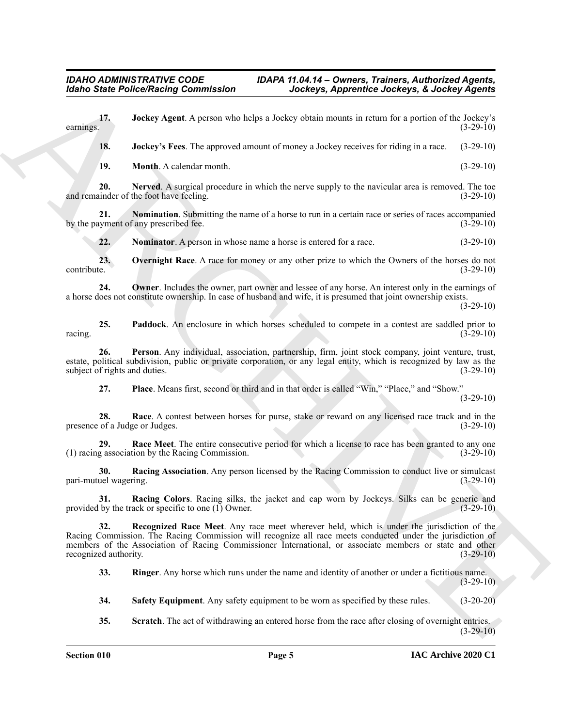<span id="page-4-8"></span><span id="page-4-7"></span><span id="page-4-6"></span><span id="page-4-5"></span><span id="page-4-4"></span><span id="page-4-3"></span><span id="page-4-2"></span><span id="page-4-1"></span><span id="page-4-0"></span>**Example Police Pickers Processor** is a theory **Approximation** And the set of the set of the set of the set of the set of the set of the set of the set of the set of the set of the set of the set of the set of the set of **17. 17. Jockey Agent**. A person who helps a Jockey obtain mounts in return for a portion of the Jockey's earnings. (3-29-10) earnings.  $(3-29-10)$ **18. Jockey's Fees**. The approved amount of money a Jockey receives for riding in a race. (3-29-10) **19. Month**. A calendar month. (3-29-10) **20.** Nerved. A surgical procedure in which the nerve supply to the navicular area is removed. The toe under of the foot have feeling. (3-29-10) and remainder of the foot have feeling. **21. Nomination**. Submitting the name of a horse to run in a certain race or series of races accompanied syment of any prescribed fee.  $(3-29-10)$ by the payment of any prescribed fee. **22. Nominator**. A person in whose name a horse is entered for a race.  $(3-29-10)$ **23. Overnight Race**. A race for money or any other prize to which the Owners of the horses do not contribute. (3-29-10) **24. Owner**. Includes the owner, part owner and lessee of any horse. An interest only in the earnings of a horse does not constitute ownership. In case of husband and wife, it is presumed that joint ownership exists. (3-29-10) **25. Paddock**. An enclosure in which horses scheduled to compete in a contest are saddled prior to  $r^2$  racing.  $(3-29-10)$ **26. Person**. Any individual, association, partnership, firm, joint stock company, joint venture, trust, estate, political subdivision, public or private corporation, or any legal entity, which is recognized by law as the subject of rights and duties. (3-29-10) **27. Place**. Means first, second or third and in that order is called "Win," "Place," and "Show." (3-29-10) **28. Race**. A contest between horses for purse, stake or reward on any licensed race track and in the presence of a Judge or Judges. (3-29-10) **29.** Race Meet. The entire consecutive period for which a license to race has been granted to any one g association by the Racing Commission. (3-29-10)  $(1)$  racing association by the Racing Commission. **30.** Racing Association. Any person licensed by the Racing Commission to conduct live or simulcast uel wagering. (3-29-10) pari-mutuel wagering. **31. Racing Colors**. Racing silks, the jacket and cap worn by Jockeys. Silks can be generic and provided by the track or specific to one (1) Owner. (3-29-10) **32. Recognized Race Meet**. Any race meet wherever held, which is under the jurisdiction of the Racing Commission. The Racing Commission will recognize all race meets conducted under the jurisdiction of members of the Association of Racing Commissioner International, or associate members or state and other recognized authority. (3-29-10) **33. Ringer**. Any horse which runs under the name and identity of another or under a fictitious name.  $(3-29-10)$ 

<span id="page-4-17"></span><span id="page-4-16"></span><span id="page-4-15"></span><span id="page-4-14"></span><span id="page-4-13"></span><span id="page-4-12"></span><span id="page-4-11"></span><span id="page-4-10"></span><span id="page-4-9"></span>**34. Safety Equipment**. Any safety equipment to be worn as specified by these rules. (3-20-20)

<span id="page-4-18"></span>**35. Scratch**. The act of withdrawing an entered horse from the race after closing of overnight entries. (3-29-10)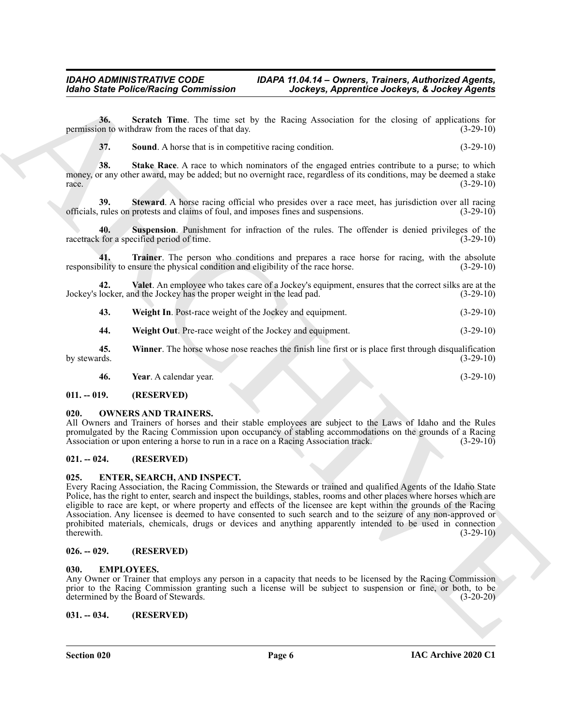**36. Scratch Time**. The time set by the Racing Association for the closing of applications for permission to withdraw from the races of that day. (3-29-10)

<span id="page-5-10"></span><span id="page-5-9"></span><span id="page-5-8"></span><span id="page-5-7"></span>

| 37. | <b>Sound.</b> A horse that is in competitive racing condition. | $(3-29-10)$ |
|-----|----------------------------------------------------------------|-------------|
|     |                                                                |             |

**38. Stake Race**. A race to which nominators of the engaged entries contribute to a purse; to which money, or any other award, may be added; but no overnight race, regardless of its conditions, may be deemed a stake  $r = (3-29-10)$ 

**39. Steward**. A horse racing official who presides over a race meet, has jurisdiction over all racing officials, rules on protests and claims of foul, and imposes fines and suspensions. (3-29-10)

<span id="page-5-11"></span>**40. Suspension**. Punishment for infraction of the rules. The offender is denied privileges of the racetrack for a specified period of time. (3-29-10)

<span id="page-5-12"></span>**41. Trainer**. The person who conditions and prepares a race horse for racing, with the absolute responsibility to ensure the physical condition and eligibility of the race horse. (3-29-10)

**42. Valet**. An employee who takes care of a Jockey's equipment, ensures that the correct silks are at the Jockey's locker, and the Jockey has the proper weight in the lead pad. (3-29-10)

<span id="page-5-14"></span><span id="page-5-13"></span>

| 43. | <b>Weight In.</b> Post-race weight of the Jockey and equipment. | $(3-29-10)$ |
|-----|-----------------------------------------------------------------|-------------|
|     |                                                                 |             |

<span id="page-5-16"></span><span id="page-5-15"></span>**44. Weight Out**. Pre-race weight of the Jockey and equipment. (3-29-10)

**45. Winner**. The horse whose nose reaches the finish line first or is place first through disqualification by stewards. (3-29-10)

<span id="page-5-20"></span><span id="page-5-17"></span>**46. Year**. A calendar year. (3-29-10)

<span id="page-5-0"></span>**011. -- 019. (RESERVED)**

#### <span id="page-5-1"></span>**020. OWNERS AND TRAINERS.**

All Owners and Trainers of horses and their stable employees are subject to the Laws of Idaho and the Rules promulgated by the Racing Commission upon occupancy of stabling accommodations on the grounds of a Racing Association or upon entering a horse to run in a race on a Racing Association track. (3-29-10)

#### <span id="page-5-2"></span>**021. -- 024. (RESERVED)**

#### <span id="page-5-19"></span><span id="page-5-3"></span>**025. ENTER, SEARCH, AND INSPECT.**

Models State Police/Neising Commutation<br>
30. State Police/Neising Commutation<br>
30. State Police/Neising Commutation<br>
20. State Police/Neising Commutation<br>
20. State Police/Neising Commutation<br>
20. State Police Are to be a Every Racing Association, the Racing Commission, the Stewards or trained and qualified Agents of the Idaho State Police, has the right to enter, search and inspect the buildings, stables, rooms and other places where horses which are eligible to race are kept, or where property and effects of the licensee are kept within the grounds of the Racing Association. Any licensee is deemed to have consented to such search and to the seizure of any non-approved or prohibited materials, chemicals, drugs or devices and anything apparently intended to be used in connection therewith.  $(3-29-10)$ 

#### <span id="page-5-4"></span>**026. -- 029. (RESERVED)**

#### <span id="page-5-18"></span><span id="page-5-5"></span>**030. EMPLOYEES.**

Any Owner or Trainer that employs any person in a capacity that needs to be licensed by the Racing Commission prior to the Racing Commission granting such a license will be subject to suspension or fine, or both, to be determined by the Board of Stewards. (3-20-20)

<span id="page-5-6"></span>**031. -- 034. (RESERVED)**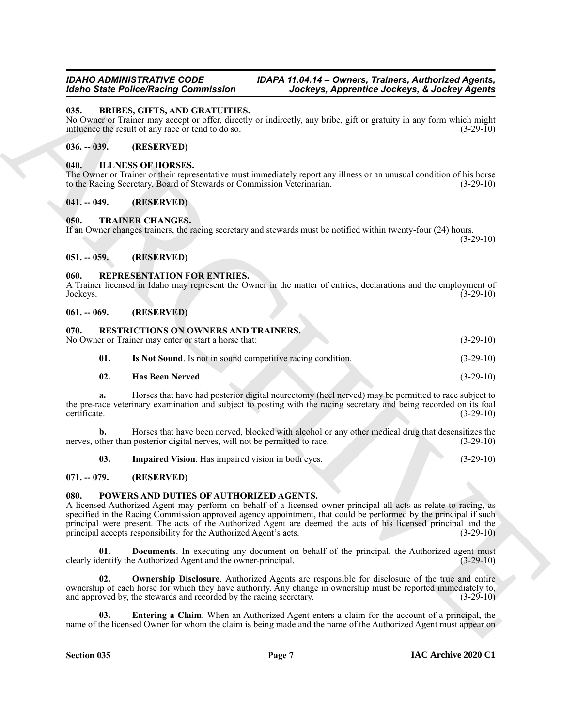#### <span id="page-6-11"></span><span id="page-6-0"></span>**035. BRIBES, GIFTS, AND GRATUITIES.**

No Owner or Trainer may accept or offer, directly or indirectly, any bribe, gift or gratuity in any form which might influence the result of any race or tend to do so. (3-29-10)

#### <span id="page-6-1"></span>**036. -- 039. (RESERVED)**

#### <span id="page-6-12"></span><span id="page-6-2"></span>**040. ILLNESS OF HORSES.**

The Owner or Trainer or their representative must immediately report any illness or an unusual condition of his horse to the Racing Secretary, Board of Stewards or Commission Veterinarian. (3-29-10)

#### <span id="page-6-3"></span>**041. -- 049. (RESERVED)**

#### <span id="page-6-4"></span>**050. TRAINER CHANGES.**

If an Owner changes trainers, the racing secretary and stewards must be notified within twenty-four (24) hours.

<span id="page-6-22"></span><span id="page-6-17"></span> $(3-29-10)$ 

## <span id="page-6-5"></span>**051. -- 059. (RESERVED)**

#### <span id="page-6-6"></span>**060. REPRESENTATION FOR ENTRIES.**

A Trainer licensed in Idaho may represent the Owner in the matter of entries, declarations and the employment of Jockeys. (3-29-10)

#### <span id="page-6-7"></span>**061. -- 069. (RESERVED)**

#### <span id="page-6-18"></span><span id="page-6-8"></span>**070. RESTRICTIONS ON OWNERS AND TRAINERS.**

No Owner or Trainer may enter or start a horse that: (3-29-10)

<span id="page-6-21"></span>

| 01. | Is Not Sound. Is not in sound competitive racing condition. | $(3-29-10)$ |
|-----|-------------------------------------------------------------|-------------|
|-----|-------------------------------------------------------------|-------------|

<span id="page-6-19"></span>**02. Has Been Nerved**. (3-29-10)

**a.** Horses that have had posterior digital neurectomy (heel nerved) may be permitted to race subject to the pre-race veterinary examination and subject to posting with the racing secretary and being recorded on its foal certificate. (3-29-10) certificate. (3-29-10)

**b.** Horses that have been nerved, blocked with alcohol or any other medical drug that desensitizes the nerves, other than posterior digital nerves, will not be permitted to race. (3-29-10)

<span id="page-6-20"></span><span id="page-6-13"></span>**03.** Impaired Vision. Has impaired vision in both eyes. (3-29-10)

#### <span id="page-6-9"></span>**071. -- 079. (RESERVED)**

#### <span id="page-6-10"></span>**080. POWERS AND DUTIES OF AUTHORIZED AGENTS.**

Groß Sinfer Prince Charles Content (and the state of the state of the state of the state of the state of the state of the state of the state of the state of the state of the state of the state of the state of the state of A licensed Authorized Agent may perform on behalf of a licensed owner-principal all acts as relate to racing, as specified in the Racing Commission approved agency appointment, that could be performed by the principal if such principal were present. The acts of the Authorized Agent are deemed the acts of his licensed principal and the principal accepts responsibility for the Authorized Agent's acts. (3-29-10)

<span id="page-6-14"></span>**01. Documents**. In executing any document on behalf of the principal, the Authorized agent must lentify the Authorized Agent and the owner-principal. (3-29-10) clearly identify the Authorized Agent and the owner-principal.

<span id="page-6-16"></span>**Ownership Disclosure**. Authorized Agents are responsible for disclosure of the true and entire ownership of each horse for which they have authority. Any change in ownership must be reported immediately to, and approved by, the stewards and recorded by the racing secretary. (3-29-10)

<span id="page-6-15"></span>**03. Entering a Claim**. When an Authorized Agent enters a claim for the account of a principal, the name of the licensed Owner for whom the claim is being made and the name of the Authorized Agent must appear on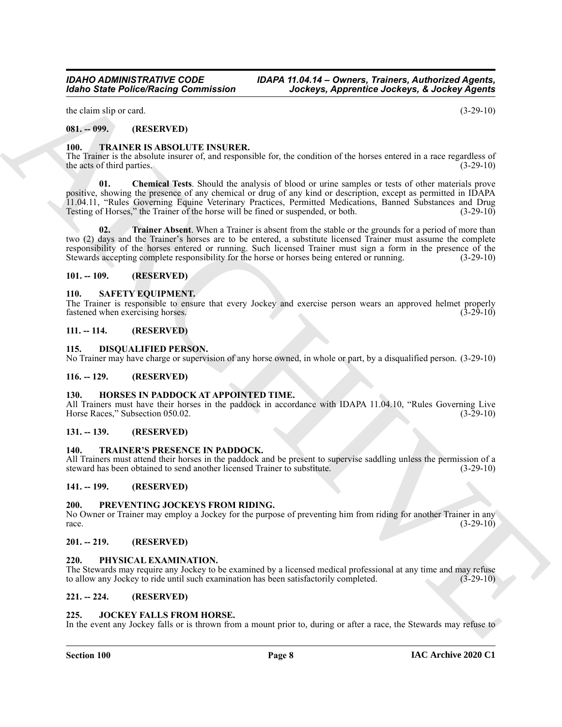the claim slip or card.  $(3-29-10)$ 

## <span id="page-7-0"></span>**081. -- 099. (RESERVED)**

# <span id="page-7-22"></span><span id="page-7-1"></span>**100. TRAINER IS ABSOLUTE INSURER.**

<span id="page-7-23"></span>The Trainer is the absolute insurer of, and responsible for, the condition of the horses entered in a race regardless of the acts of third parties. the acts of third parties.

**Example Police Neight Commission** (according to the log-s of the condition of the log-s of the state of the state of the state of the state of the state of the state of the state of the state of the state of the state o **01. Chemical Tests**. Should the analysis of blood or urine samples or tests of other materials prove positive, showing the presence of any chemical or drug of any kind or description, except as permitted in IDAPA 11.04.11, "Rules Governing Equine Veterinary Practices, Permitted Medications, Banned Substances and Drug Testing of Horses," the Trainer of the horse will be fined or suspended, or both. (3-29-10)

<span id="page-7-24"></span>**02. Trainer Absent**. When a Trainer is absent from the stable or the grounds for a period of more than two (2) days and the Trainer's horses are to be entered, a substitute licensed Trainer must assume the complete responsibility of the horses entered or running. Such licensed Trainer must sign a form in the presence of the Stewards accepting complete responsibility for the horse or horses being entered or running. (3-29-10) Stewards accepting complete responsibility for the horse or horses being entered or running.

#### <span id="page-7-2"></span>**101. -- 109. (RESERVED)**

#### <span id="page-7-21"></span><span id="page-7-3"></span>**110. SAFETY EQUIPMENT.**

The Trainer is responsible to ensure that every Jockey and exercise person wears an approved helmet properly fastened when exercising horses. fastened when exercising horses.

#### <span id="page-7-4"></span>**111. -- 114. (RESERVED)**

#### <span id="page-7-16"></span><span id="page-7-5"></span>**115. DISQUALIFIED PERSON.**

No Trainer may have charge or supervision of any horse owned, in whole or part, by a disqualified person. (3-29-10)

#### <span id="page-7-6"></span>**116. -- 129. (RESERVED)**

#### <span id="page-7-17"></span><span id="page-7-7"></span>**130. HORSES IN PADDOCK AT APPOINTED TIME.**

All Trainers must have their horses in the paddock in accordance with IDAPA 11.04.10, "Rules Governing Live Horse Races," Subsection 050.02. (3-29-10) (3-29-10)

#### <span id="page-7-8"></span>**131. -- 139. (RESERVED)**

#### <span id="page-7-25"></span><span id="page-7-9"></span>**140. TRAINER'S PRESENCE IN PADDOCK.**

All Trainers must attend their horses in the paddock and be present to supervise saddling unless the permission of a steward has been obtained to send another licensed Trainer to substitute. (3-29-10) steward has been obtained to send another licensed Trainer to substitute.

#### <span id="page-7-10"></span>**141. -- 199. (RESERVED)**

#### <span id="page-7-20"></span><span id="page-7-11"></span>**200. PREVENTING JOCKEYS FROM RIDING.**

No Owner or Trainer may employ a Jockey for the purpose of preventing him from riding for another Trainer in any race.<br>(3-29-10) race.  $(3-29-10)$ 

#### <span id="page-7-12"></span>**201. -- 219. (RESERVED)**

#### <span id="page-7-19"></span><span id="page-7-13"></span>**220. PHYSICAL EXAMINATION.**

The Stewards may require any Jockey to be examined by a licensed medical professional at any time and may refuse to allow any Jockey to ride until such examination has been satisfactorily completed. (3-29-10)

#### <span id="page-7-14"></span>**221. -- 224. (RESERVED)**

#### <span id="page-7-18"></span><span id="page-7-15"></span>**225. JOCKEY FALLS FROM HORSE.**

In the event any Jockey falls or is thrown from a mount prior to, during or after a race, the Stewards may refuse to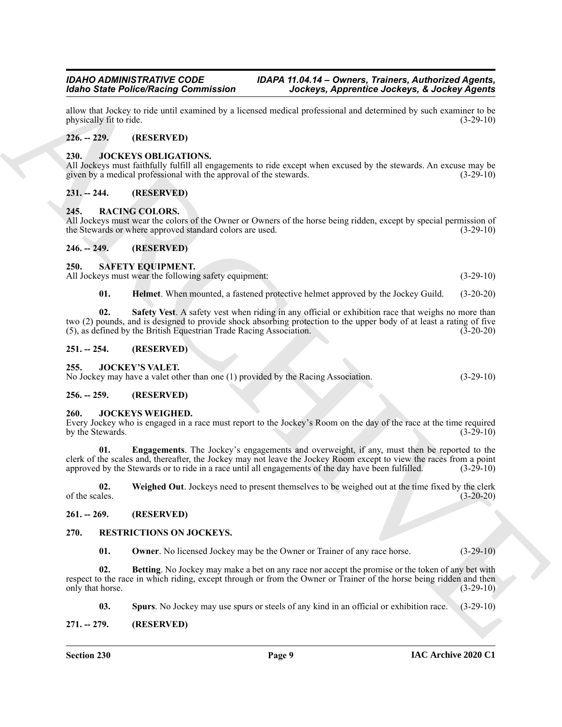allow that Jockey to ride until examined by a licensed medical professional and determined by such examiner to be physically fit to ride.

#### <span id="page-8-0"></span>**226. -- 229. (RESERVED)**

#### <span id="page-8-14"></span><span id="page-8-1"></span>**230. JOCKEYS OBLIGATIONS.**

All Jockeys must faithfully fulfill all engagements to ride except when excused by the stewards. An excuse may be given by a medical professional with the approval of the stewards. given by a medical professional with the approval of the stewards.

#### <span id="page-8-2"></span>**231. -- 244. (RESERVED)**

#### <span id="page-8-17"></span><span id="page-8-3"></span>**245. RACING COLORS.**

All Jockeys must wear the colors of the Owner or Owners of the horse being ridden, except by special permission of the Stewards or where approved standard colors are used. (3-29-10)

#### <span id="page-8-4"></span>**246. -- 249. (RESERVED)**

#### <span id="page-8-22"></span><span id="page-8-5"></span>**250. SAFETY EQUIPMENT.**

All Jockeys must wear the following safety equipment: (3-29-10)

<span id="page-8-24"></span><span id="page-8-23"></span>**01. Helmet**. When mounted, a fastened protective helmet approved by the Jockey Guild. (3-20-20)

Moto State Potence Maximum and the material and the state of the state of the state of the state of the state of the state of the state of the state of the state of the state of the state of the state of the state of the **02. Safety Vest**. A safety vest when riding in any official or exhibition race that weighs no more than two (2) pounds, and is designed to provide shock absorbing protection to the upper body of at least a rating of five (5), as defined by the British Equestrian Trade Racing Association. (3-20-20)

#### <span id="page-8-6"></span>**251. -- 254. (RESERVED)**

#### <span id="page-8-13"></span><span id="page-8-7"></span>**255. JOCKEY'S VALET.**

No Jockey may have a valet other than one (1) provided by the Racing Association. (3-29-10)

#### <span id="page-8-8"></span>**256. -- 259. (RESERVED)**

#### <span id="page-8-9"></span>**260. JOCKEYS WEIGHED.**

Every Jockey who is engaged in a race must report to the Jockey's Room on the day of the race at the time required by the Stewards. (3-29-10)

<span id="page-8-15"></span>**01. Engagements**. The Jockey's engagements and overweight, if any, must then be reported to the clerk of the scales and, thereafter, the Jockey may not leave the Jockey Room except to view the races from a point approved by the Stewards or to ride in a race until all engagements of the day have been fulfilled. (3-29approved by the Stewards or to ride in a race until all engagements of the day have been fulfilled.

<span id="page-8-16"></span>**02.** Weighed Out. Jockeys need to present themselves to be weighed out at the time fixed by the clerk of the scales. (3-20-20) of the scales. (3-20-20)

#### <span id="page-8-10"></span>**261. -- 269. (RESERVED)**

#### <span id="page-8-11"></span>**270. RESTRICTIONS ON JOCKEYS.**

<span id="page-8-20"></span><span id="page-8-19"></span><span id="page-8-18"></span>**01. Owner**. No licensed Jockey may be the Owner or Trainer of any race horse. (3-29-10)

**02. Betting**. No Jockey may make a bet on any race nor accept the promise or the token of any bet with respect to the race in which riding, except through or from the Owner or Trainer of the horse being ridden and then only that horse.  $(3-29-10)$ 

<span id="page-8-21"></span>**03. Spurs**. No Jockey may use spurs or steels of any kind in an official or exhibition race. (3-29-10)

#### <span id="page-8-12"></span>**271. -- 279. (RESERVED)**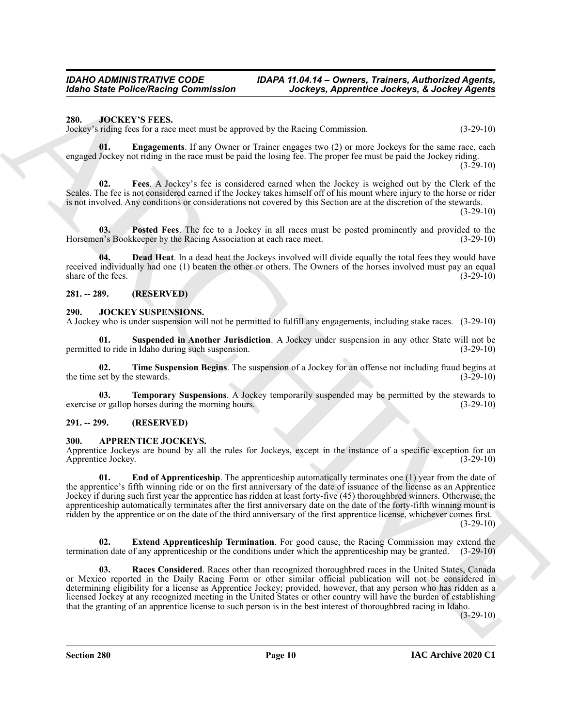#### <span id="page-9-13"></span><span id="page-9-0"></span>**280. JOCKEY'S FEES.**

Jockey's riding fees for a race meet must be approved by the Racing Commission. (3-29-10)

<span id="page-9-15"></span>**01. Engagements**. If any Owner or Trainer engages two (2) or more Jockeys for the same race, each engaged Jockey not riding in the race must be paid the losing fee. The proper fee must be paid the Jockey riding.

 $(3-29-10)$ 

<span id="page-9-16"></span>**02. Fees**. A Jockey's fee is considered earned when the Jockey is weighed out by the Clerk of the Scales. The fee is not considered earned if the Jockey takes himself off of his mount where injury to the horse or rider is not involved. Any conditions or considerations not covered by this Section are at the discretion of the stewards.

 $(3-29-10)$ 

<span id="page-9-17"></span>**03. Posted Fees**. The fee to a Jockey in all races must be posted prominently and provided to the Horsemen's Bookkeeper by the Racing Association at each race meet. (3-29-10)

<span id="page-9-14"></span>**04. Dead Heat**. In a dead heat the Jockeys involved will divide equally the total fees they would have received individually had one (1) beaten the other or others. The Owners of the horses involved must pay an equal share of the fees. (3-29-10)

#### <span id="page-9-1"></span>**281. -- 289. (RESERVED)**

#### <span id="page-9-9"></span><span id="page-9-2"></span>**290. JOCKEY SUSPENSIONS.**

A Jockey who is under suspension will not be permitted to fulfill any engagements, including stake races. (3-29-10)

<span id="page-9-10"></span>**01. Suspended in Another Jurisdiction**. A Jockey under suspension in any other State will not be permitted to ride in Idaho during such suspension. (3-29-10)

<span id="page-9-12"></span>**02. Time Suspension Begins**. The suspension of a Jockey for an offense not including fraud begins at the time set by the stewards. (3-29-10) (3-29-10)

<span id="page-9-11"></span>**03. Temporary Suspensions**. A Jockey temporarily suspended may be permitted by the stewards to exercise or gallop horses during the morning hours. (3-29-10)

#### <span id="page-9-3"></span>**291. -- 299. (RESERVED)**

#### <span id="page-9-5"></span><span id="page-9-4"></span>**300. APPRENTICE JOCKEYS.**

<span id="page-9-6"></span>Apprentice Jockeys are bound by all the rules for Jockeys, except in the instance of a specific exception for an Apprentice Jockey. (3-29-10)

**Example Police Neutron** Gamministers and the foliosy Approximate decision is  $\frac{1}{2}$  and  $\frac{1}{2}$  and  $\frac{1}{2}$  and  $\frac{1}{2}$  and  $\frac{1}{2}$  and  $\frac{1}{2}$  and  $\frac{1}{2}$  and  $\frac{1}{2}$  and  $\frac{1}{2}$  and  $\frac{1}{2}$  and  $\$ **01. End of Apprenticeship**. The apprenticeship automatically terminates one (1) year from the date of the apprentice's fifth winning ride or on the first anniversary of the date of issuance of the license as an Apprentice Jockey if during such first year the apprentice has ridden at least forty-five (45) thoroughbred winners. Otherwise, the apprenticeship automatically terminates after the first anniversary date on the date of the forty-fifth winning mount is ridden by the apprentice or on the date of the third anniversary of the first apprentice license, whichever comes first.  $(3-29-10)$ 

<span id="page-9-7"></span>**Extend Apprenticeship Termination**. For good cause, the Racing Commission may extend the termination date of any apprenticeship or the conditions under which the apprenticeship may be granted. (3-29-10)

<span id="page-9-8"></span>**03. Races Considered**. Races other than recognized thoroughbred races in the United States, Canada or Mexico reported in the Daily Racing Form or other similar official publication will not be considered in determining eligibility for a license as Apprentice Jockey; provided, however, that any person who has ridden as a licensed Jockey at any recognized meeting in the United States or other country will have the burden of establishing that the granting of an apprentice license to such person is in the best interest of thoroughbred racing in Idaho.

 $(3-29-10)$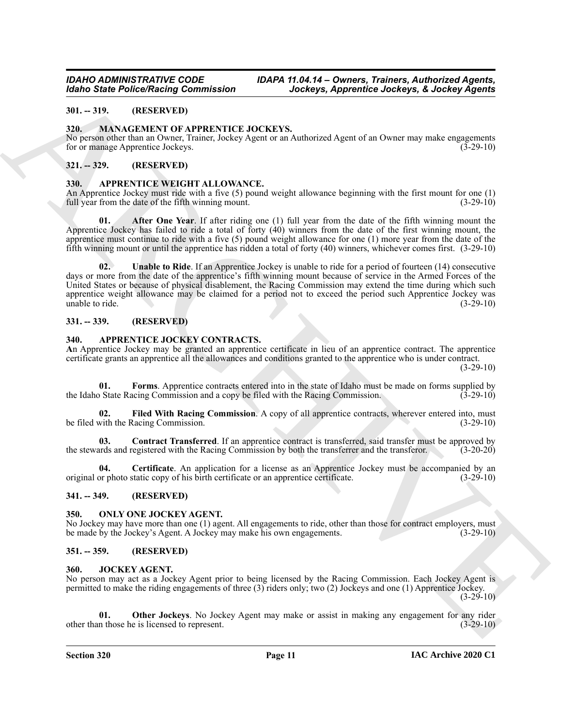#### <span id="page-10-0"></span>**301. -- 319. (RESERVED)**

#### <span id="page-10-20"></span><span id="page-10-1"></span>**320. MANAGEMENT OF APPRENTICE JOCKEYS.**

No person other than an Owner, Trainer, Jockey Agent or an Authorized Agent of an Owner may make engagements for or manage Apprentice Jockeys. (3-29-10)

#### <span id="page-10-2"></span>**321. -- 329. (RESERVED)**

#### <span id="page-10-15"></span><span id="page-10-3"></span>**330. APPRENTICE WEIGHT ALLOWANCE.**

An Apprentice Jockey must ride with a five (5) pound weight allowance beginning with the first mount for one (1) full year from the date of the fifth winning mount. (3-29-10) full year from the date of the fifth winning mount.

<span id="page-10-17"></span><span id="page-10-16"></span>**01. After One Year**. If after riding one (1) full year from the date of the fifth winning mount the Apprentice Jockey has failed to ride a total of forty (40) winners from the date of the first winning mount, the apprentice must continue to ride with a five (5) pound weight allowance for one (1) more year from the date of the fifth winning mount or until the apprentice has ridden a total of forty (40) winners, whichever comes first. (3-29-10)

Model State Police National Commutation<br>
31. - 313. MACA CAST CONTRACT CONTRACTS And the state of the state of the contracts of the Contracts of the Contracts of the Contracts of the Contracts of the Contracts of the Cont **02. Unable to Ride**. If an Apprentice Jockey is unable to ride for a period of fourteen (14) consecutive days or more from the date of the apprentice's fifth winning mount because of service in the Armed Forces of the United States or because of physical disablement, the Racing Commission may extend the time during which such apprentice weight allowance may be claimed for a period not to exceed the period such Apprentice Jockey was unable to ride. (3-29-10) unable to ride.

#### <span id="page-10-4"></span>**331. -- 339. (RESERVED)**

## <span id="page-10-10"></span><span id="page-10-5"></span>**340. APPRENTICE JOCKEY CONTRACTS.**

**A**n Apprentice Jockey may be granted an apprentice certificate in lieu of an apprentice contract. The apprentice certificate grants an apprentice all the allowances and conditions granted to the apprentice who is under contract.

 $(3-29-10)$ 

<span id="page-10-14"></span>**01. Forms**. Apprentice contracts entered into in the state of Idaho must be made on forms supplied by the Idaho State Racing Commission and a copy be filed with the Racing Commission. (3-29-10)

<span id="page-10-13"></span>**02.** Filed With Racing Commission. A copy of all apprentice contracts, wherever entered into, must with the Racing Commission. (3-29-10) be filed with the Racing Commission.

<span id="page-10-12"></span>**03. Contract Transferred**. If an apprentice contract is transferred, said transfer must be approved by the stewards and registered with the Racing Commission by both the transferrer and the transferor. (3-20-20)

<span id="page-10-11"></span>**04.** Certificate. An application for a license as an Apprentice Jockey must be accompanied by an or photo static copy of his birth certificate or an apprentice certificate. (3-29-10) original or photo static copy of his birth certificate or an apprentice certificate.

#### <span id="page-10-6"></span>**341. -- 349. (RESERVED)**

#### <span id="page-10-21"></span><span id="page-10-7"></span>**350. ONLY ONE JOCKEY AGENT.**

No Jockey may have more than one (1) agent. All engagements to ride, other than those for contract employers, must be made by the Jockey's Agent. A Jockey may make his own engagements. (3-29-10)

#### <span id="page-10-8"></span>**351. -- 359. (RESERVED)**

#### <span id="page-10-18"></span><span id="page-10-9"></span>**360. JOCKEY AGENT.**

No person may act as a Jockey Agent prior to being licensed by the Racing Commission. Each Jockey Agent is permitted to make the riding engagements of three (3) riders only; two (2) Jockeys and one (1) Apprentice Jockey.  $(3-29-10)$ 

<span id="page-10-19"></span>**01. Other Jockeys**. No Jockey Agent may make or assist in making any engagement for any rider other than those he is licensed to represent. (3-29-10)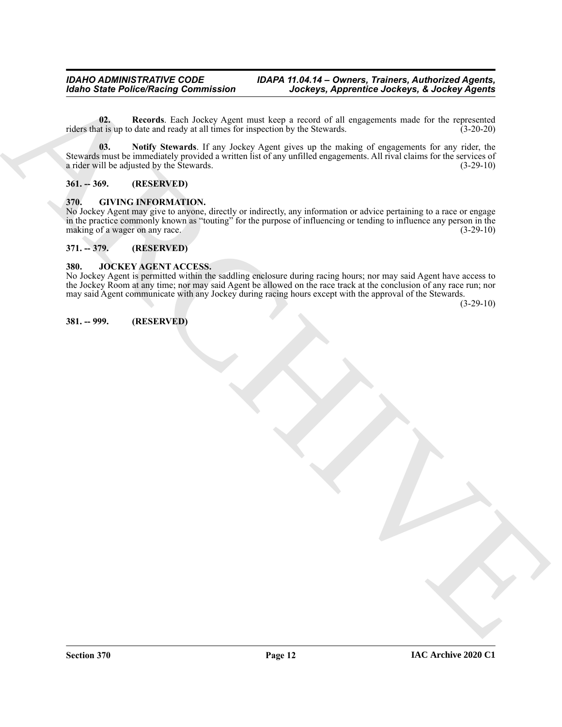<span id="page-11-7"></span><span id="page-11-6"></span>**02. Records**. Each Jockey Agent must keep a record of all engagements made for the represented riders that is up to date and ready at all times for inspection by the Stewards. (3-20-20)

Monto State Policy Records Commission<br>
(dans in the case of the last last  $\mu$  and the state of the state of the state of the state of the state of<br>
(dans data with the state of the state of the state of the state of the **03. Notify Stewards**. If any Jockey Agent gives up the making of engagements for any rider, the Stewards must be immediately provided a written list of any unfilled engagements. All rival claims for the services of a rider will be adjusted by the Stewards. a rider will be adjusted by the Stewards.

#### <span id="page-11-0"></span>**361. -- 369. (RESERVED)**

#### <span id="page-11-5"></span><span id="page-11-1"></span>**370. GIVING INFORMATION.**

No Jockey Agent may give to anyone, directly or indirectly, any information or advice pertaining to a race or engage in the practice commonly known as "touting" for the purpose of influencing or tending to influence any person in the making of a wager on any race. (3-29-10)

#### <span id="page-11-2"></span>**371. -- 379. (RESERVED)**

#### <span id="page-11-8"></span><span id="page-11-3"></span>**380. JOCKEY AGENT ACCESS.**

No Jockey Agent is permitted within the saddling enclosure during racing hours; nor may said Agent have access to the Jockey Room at any time; nor may said Agent be allowed on the race track at the conclusion of any race run; nor may said Agent communicate with any Jockey during racing hours except with the approval of the Stewards.

(3-29-10)

<span id="page-11-4"></span>**381. -- 999. (RESERVED)**